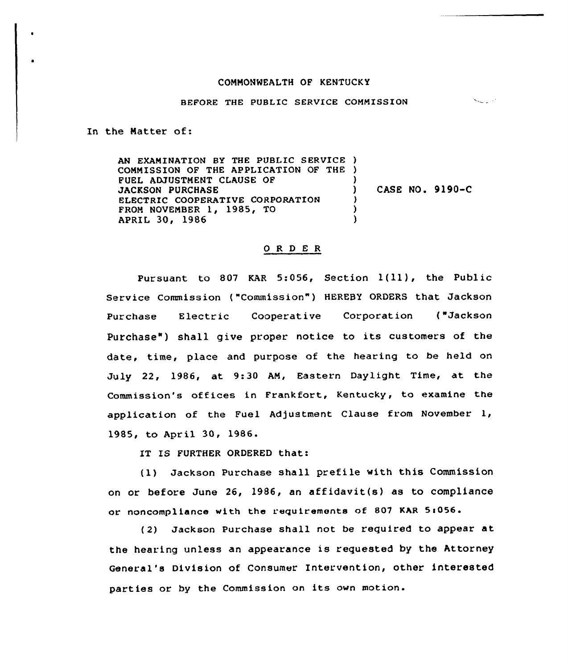## COMMONWEALTH OF KENTUCKY

## BEFORE THE PUBLIC SERVICE COMMISSION

 $\mathcal{N}_{\text{max}}$  and

In the Natter of:

AN EXAMINATION BY THE PUBLIC SERVICE ) COMMISSION OF THE APPLICATION OF THE ) FUEL ADJUSTMENT CLAUSE OF JACKSON PURCHASE ELECTRIC COOPERATIVE CORPORATION FROM NOVEMBER 1, 1985, TO APRIL 30, 1986 ) ) CASE NO. 9190-C ) ) )

## ORDER

Pur suant to <sup>807</sup> KAR 5:056, Section l(ll), the Public Service Commission ("Commission") HEREBY ORDERS that Jackson Purchase Electric Cooperative Corporation ("Jackson Purchase") shall give proper notice to its customers of the date, time, place and purpose of the hearing to be held on July 22, 1986, at 9:30 AM, Eastern Daylight Time, at the Commission's offices in Frankfort, Kentucky, to examine the applicatian of the Fuel Adjustment Clause from November 1, 1985, to April 30, 1986.

IT IS FURTHER ORDERED that:

(1) Jackson Purchase shall prefile with this Commission on or before June 26, 1986, an affidavit(s) as to compliance or noncompliance with the requirements of 807 KAR 5:056.

(2) Jackson Purchase shall not be required to appear at the hearing unless an appearance is requested by the Attorney General's Division of Consumer Intervention, other interested parties or by the Commission on its own motion.